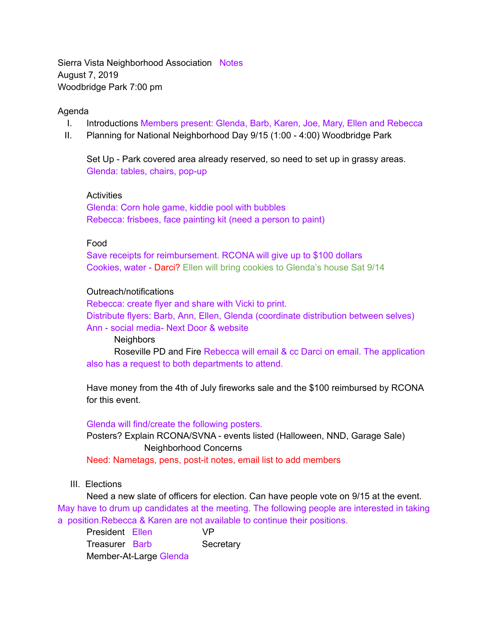Sierra Vista Neighborhood Association Notes August 7, 2019 Woodbridge Park 7:00 pm

## Agenda

- I. Introductions Members present: Glenda, Barb, Karen, Joe, Mary, Ellen and Rebecca
- II. Planning for National Neighborhood Day 9/15 (1:00 4:00) Woodbridge Park

Set Up - Park covered area already reserved, so need to set up in grassy areas. Glenda: tables, chairs, pop-up

**Activities** 

Glenda: Corn hole game, kiddie pool with bubbles Rebecca: frisbees, face painting kit (need a person to paint)

## Food

Save receipts for reimbursement. RCONA will give up to \$100 dollars Cookies, water - Darci? Ellen will bring cookies to Glenda's house Sat 9/14

## Outreach/notifications

Rebecca: create flyer and share with Vicki to print. Distribute flyers: Barb, Ann, Ellen, Glenda (coordinate distribution between selves) Ann - social media- Next Door & website

**Neighbors** 

 Roseville PD and Fire Rebecca will email & cc Darci on email. The application also has a request to both departments to attend.

Have money from the 4th of July fireworks sale and the \$100 reimbursed by RCONA for this event.

Glenda will find/create the following posters.

Posters? Explain RCONA/SVNA - events listed (Halloween, NND, Garage Sale) Neighborhood Concerns

Need: Nametags, pens, post-it notes, email list to add members

## III. Elections

Need a new slate of officers for election. Can have people vote on 9/15 at the event. May have to drum up candidates at the meeting. The following people are interested in taking a position.Rebecca & Karen are not available to continue their positions.

President Ellen VP Treasurer Barb Secretary Member-At-Large Glenda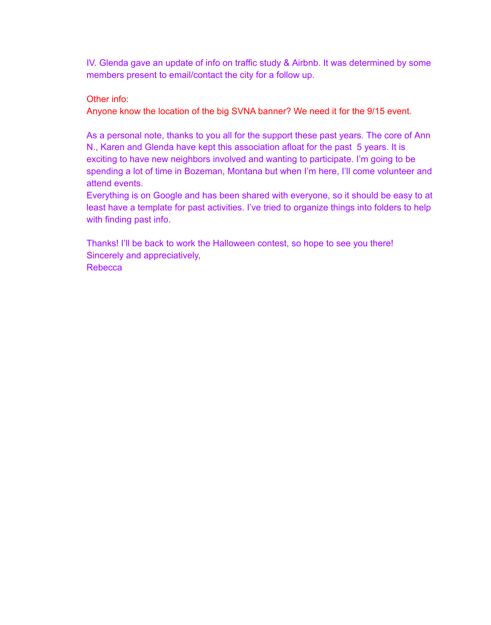IV. Glenda gave an update of info on traffic study & Airbnb. It was determined by some members present to email/contact the city for a follow up.

Other info:

Anyone know the location of the big SVNA banner? We need it for the 9/15 event.

As a personal note, thanks to you all for the support these past years. The core of Ann N., Karen and Glenda have kept this association afloat for the past 5 years. It is exciting to have new neighbors involved and wanting to participate. I'm going to be spending a lot of time in Bozeman, Montana but when I'm here, I'll come volunteer and attend events.

Everything is on Google and has been shared with everyone, so it should be easy to at least have a template for past activities. I've tried to organize things into folders to help with finding past info.

Thanks! I'll be back to work the Halloween contest, so hope to see you there! Sincerely and appreciatively, Rebecca